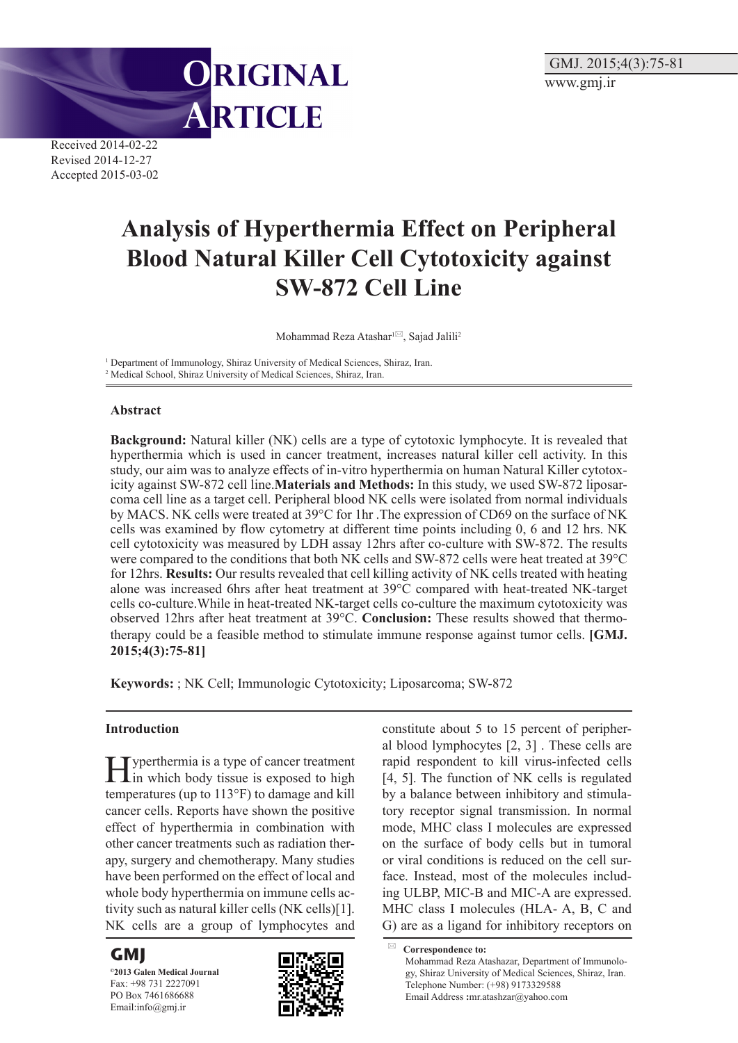

Received 2014-02-22 Revised 2014-12-27 Accepted 2015-03-02

# **Analysis of Hyperthermia Effect on Peripheral Blood Natural Killer Cell Cytotoxicity against SW-872 Cell Line**

Mohammad Reza Atashar $1^{1/2}$ , Sajad Jalili<sup>2</sup>

<sup>1</sup> Department of Immunology, Shiraz University of Medical Sciences, Shiraz, Iran. 2 Medical School, Shiraz University of Medical Sciences, Shiraz, Iran.

#### **Abstract**

**Background:** Natural killer (NK) cells are a type of cytotoxic lymphocyte. It is revealed that hyperthermia which is used in cancer treatment, increases natural killer cell activity. In this study, our aim was to analyze effects of in-vitro hyperthermia on human Natural Killer cytotoxicity against SW-872 cell line.**Materials and Methods:** In this study, we used SW-872 liposarcoma cell line as a target cell. Peripheral blood NK cells were isolated from normal individuals by MACS. NK cells were treated at 39°C for 1hr .The expression of CD69 on the surface of NK cells was examined by flow cytometry at different time points including 0, 6 and 12 hrs. NK cell cytotoxicity was measured by LDH assay 12hrs after co-culture with SW-872. The results were compared to the conditions that both NK cells and SW-872 cells were heat treated at 39°C for 12hrs. **Results:** Our results revealed that cell killing activity of NK cells treated with heating alone was increased 6hrs after heat treatment at 39°C compared with heat-treated NK-target cells co-culture.While in heat-treated NK-target cells co-culture the maximum cytotoxicity was observed 12hrs after heat treatment at 39°C. **Conclusion:** These results showed that thermotherapy could be a feasible method to stimulate immune response against tumor cells. **[GMJ. 2015;4(3):75-81]**

**Keywords:** ; NK Cell; Immunologic Cytotoxicity; Liposarcoma; SW-872

#### **Introduction**

Hyperthermia is a type of cancer treatment in which body tissue is exposed to high temperatures (up to 113°F) to damage and kill cancer cells. Reports have shown the positive effect of hyperthermia in combination with other cancer treatments such as radiation therapy, surgery and chemotherapy. Many studies have been performed on the effect of local and whole body hyperthermia on immune cells activity such as natural killer cells (NK cells)[1]. NK cells are a group of lymphocytes and

# **GMJ**

**©2013 Galen Medical Journal** Fax: +98 731 2227091 PO Box 7461686688 Email:info@gmj.ir



constitute about 5 to 15 percent of peripheral blood lymphocytes [2, 3] . These cells are rapid respondent to kill virus-infected cells [4, 5]. The function of NK cells is regulated by a balance between inhibitory and stimulatory receptor signal transmission. In normal mode, MHC class I molecules are expressed on the surface of body cells but in tumoral or viral conditions is reduced on the cell surface. Instead, most of the molecules including ULBP, MIC-B and MIC-A are expressed. MHC class I molecules (HLA- A, B, C and G) are as a ligand for inhibitory receptors on

**Correspondence to:** Mohammad Reza Atashazar, Department of Immunology, Shiraz University of Medical Sciences, Shiraz, Iran. Telephone Number: (+98) 9173329588 Email Address **:**mr.atashzar@yahoo.com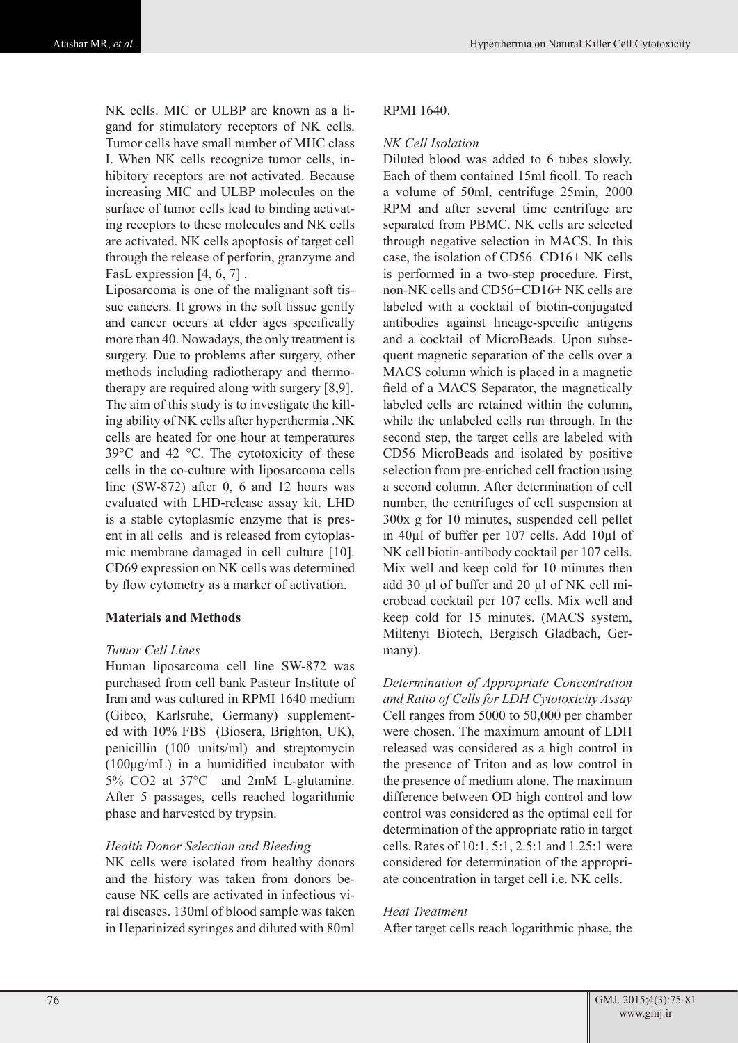NK cells. MIC or ULBP are known as a ligand for stimulatory receptors of NK cells. Tumor cells have small number of MHC class I. When NK cells recognize tumor cells, inhibitory receptors are not activated. Because increasing MIC and ULBP molecules on the surface of tumor cells lead to binding activating receptors to these molecules and NK cells are activated. NK cells apoptosis of target cell through the release of perforin, granzyme and FasL expression [4, 6, 7].

Liposarcoma is one of the malignant soft tissue cancers. It grows in the soft tissue gently and cancer occurs at elder ages specifically more than 40. Nowadays, the only treatment is surgery. Due to problems after surgery, other methods including radiotherapy and thermotherapy are required along with surgery [8,9]. The aim of this study is to investigate the killing ability of NK cells after hyperthermia .NK cells are heated for one hour at temperatures 39°C and 42 °C. The cytotoxicity of these cells in the co-culture with liposarcoma cells line (SW-872) after 0, 6 and 12 hours was evaluated with LHD-release assay kit. LHD is a stable cytoplasmic enzyme that is present in all cells and is released from cytoplasmic membrane damaged in cell culture [10]. CD69 expression on NK cells was determined by flow cytometry as a marker of activation.

#### **Materials and Methods**

#### *Tumor Cell Lines*

Human liposarcoma cell line SW-872 was purchased from cell bank Pasteur Institute of Iran and was cultured in RPMI 1640 medium (Gibco, Karlsruhe, Germany) supplemented with 10% FBS (Biosera, Brighton, UK), penicillin (100 units/ml) and streptomycin (100μg/mL) in a humidified incubator with 5% CO2 at 37°C and 2mM L-glutamine. After 5 passages, cells reached logarithmic phase and harvested by trypsin.

# *Health Donor Selection and Bleeding*

NK cells were isolated from healthy donors and the history was taken from donors because NK cells are activated in infectious viral diseases. 130ml of blood sample was taken in Heparinized syringes and diluted with 80ml

#### RPMI 1640.

## *NK Cell Isolation*

Diluted blood was added to 6 tubes slowly. Each of them contained 15ml ficoll. To reach a volume of 50ml, centrifuge 25min, 2000 RPM and after several time centrifuge are separated from PBMC. NK cells are selected through negative selection in MACS. In this case, the isolation of CD56+CD16+ NK cells is performed in a two-step procedure. First, non-NK cells and CD56+CD16+ NK cells are labeled with a cocktail of biotin-conjugated antibodies against lineage-specific antigens and a cocktail of MicroBeads. Upon subsequent magnetic separation of the cells over a MACS column which is placed in a magnetic field of a MACS Separator, the magnetically labeled cells are retained within the column, while the unlabeled cells run through. In the second step, the target cells are labeled with CD56 MicroBeads and isolated by positive selection from pre-enriched cell fraction using a second column. After determination of cell number, the centrifuges of cell suspension at 300x g for 10 minutes, suspended cell pellet in 40µl of buffer per 107 cells. Add 10µl of NK cell biotin-antibody cocktail per 107 cells. Mix well and keep cold for 10 minutes then add 30 µl of buffer and 20 µl of NK cell microbead cocktail per 107 cells. Mix well and keep cold for 15 minutes. (MACS system, Miltenyi Biotech, Bergisch Gladbach, Germany).

*Determination of Appropriate Concentration and Ratio of Cells for LDH Cytotoxicity Assay*  Cell ranges from 5000 to 50,000 per chamber were chosen. The maximum amount of LDH released was considered as a high control in the presence of Triton and as low control in the presence of medium alone. The maximum difference between OD high control and low control was considered as the optimal cell for determination of the appropriate ratio in target cells. Rates of 10:1, 5:1, 2.5:1 and 1.25:1 were considered for determination of the appropriate concentration in target cell i.e. NK cells.

#### *Heat Treatment*

After target cells reach logarithmic phase, the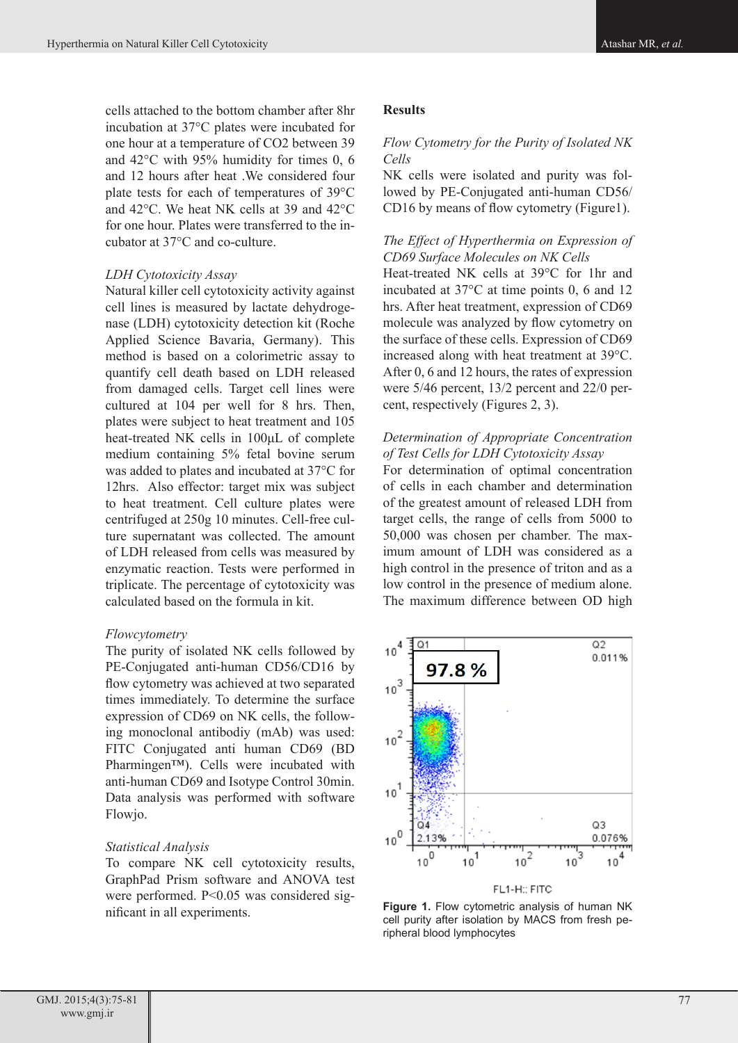cells attached to the bottom chamber after 8hr incubation at 37°C plates were incubated for one hour at a temperature of CO2 between 39 and 42°C with 95% humidity for times 0, 6 and 12 hours after heat .We considered four plate tests for each of temperatures of 39°C and 42°C. We heat NK cells at 39 and 42°C for one hour. Plates were transferred to the incubator at 37°C and co-culture.

#### *LDH Cytotoxicity Assay*

Natural killer cell cytotoxicity activity against cell lines is measured by lactate dehydrogenase (LDH) cytotoxicity detection kit (Roche Applied Science Bavaria, Germany). This method is based on a colorimetric assay to quantify cell death based on LDH released from damaged cells. Target cell lines were cultured at 104 per well for 8 hrs. Then, plates were subject to heat treatment and 105 heat-treated NK cells in 100μL of complete medium containing 5% fetal bovine serum was added to plates and incubated at 37°C for 12hrs. Also effector: target mix was subject to heat treatment. Cell culture plates were centrifuged at 250g 10 minutes. Cell-free culture supernatant was collected. The amount of LDH released from cells was measured by enzymatic reaction. Tests were performed in triplicate. The percentage of cytotoxicity was calculated based on the formula in kit.

#### *Flowcytometry*

The purity of isolated NK cells followed by PE-Conjugated anti-human CD56/CD16 by flow cytometry was achieved at two separated times immediately. To determine the surface expression of CD69 on NK cells, the following monoclonal antibodiy (mAb) was used: FITC Conjugated anti human CD69 (BD Pharmingen™). Cells were incubated with anti-human CD69 and Isotype Control 30min. Data analysis was performed with software Flowjo.

#### *Statistical Analysis*

To compare NK cell cytotoxicity results, GraphPad Prism software and ANOVA test were performed. P<0.05 was considered significant in all experiments.

#### **Results**

#### *Flow Cytometry for the Purity of Isolated NK Cells*

NK cells were isolated and purity was followed by PE-Conjugated anti-human CD56/ CD16 by means of flow cytometry (Figure1).

# *The Effect of Hyperthermia on Expression of CD69 Surface Molecules on NK Cells*

Heat-treated NK cells at 39°C for 1hr and incubated at 37°C at time points 0, 6 and 12 hrs. After heat treatment, expression of CD69 molecule was analyzed by flow cytometry on the surface of these cells. Expression of CD69 increased along with heat treatment at 39°C. After 0, 6 and 12 hours, the rates of expression were 5/46 percent, 13/2 percent and 22/0 percent, respectively (Figures 2, 3).

# *Determination of Appropriate Concentration of Test Cells for LDH Cytotoxicity Assay*

For determination of optimal concentration of cells in each chamber and determination of the greatest amount of released LDH from target cells, the range of cells from 5000 to 50,000 was chosen per chamber. The maximum amount of LDH was considered as a high control in the presence of triton and as a low control in the presence of medium alone. The maximum difference between OD high



**Figure 1.** Flow cytometric analysis of human NK cell purity after isolation by MACS from fresh peripheral blood lymphocytes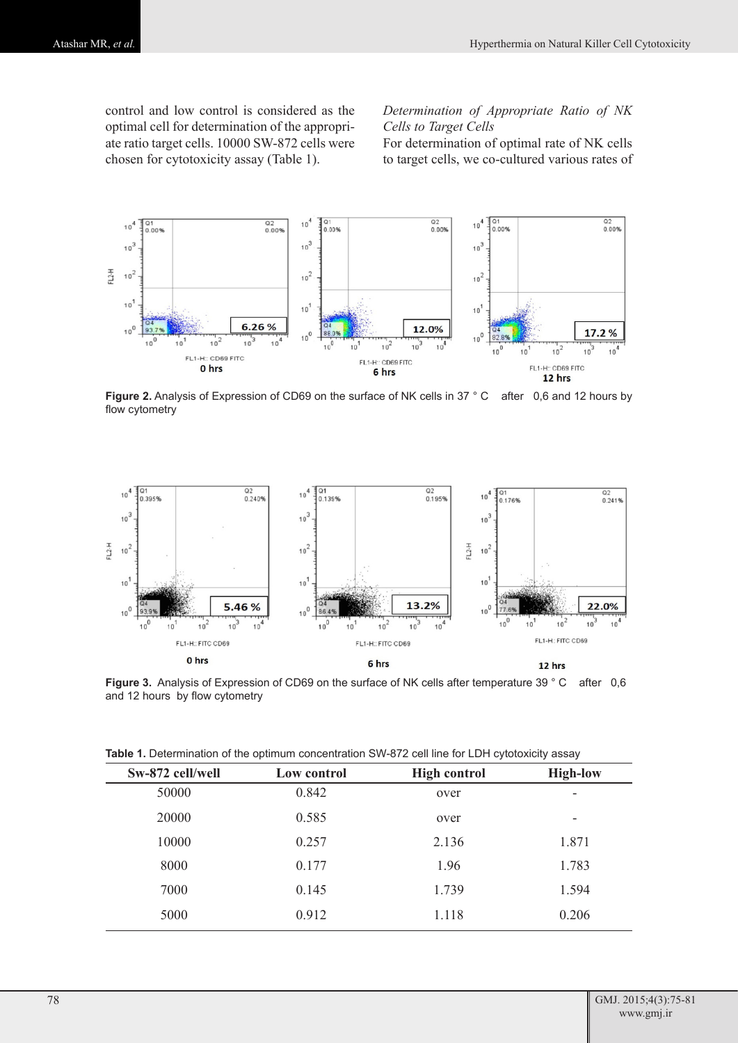control and low control is considered as the optimal cell for determination of the appropriate ratio target cells. 10000 SW-872 cells were chosen for cytotoxicity assay (Table 1).

*Determination of Appropriate Ratio of NK Cells to Target Cells*

For determination of optimal rate of NK cells to target cells, we co-cultured various rates of



**Figure 2.** Analysis of Expression of CD69 on the surface of NK cells in 37 ° C after 0,6 and 12 hours by flow cytometry



**Figure 3.** Analysis of Expression of CD69 on the surface of NK cells after temperature 39 ° C after 0,6 and 12 hours by flow cytometry

| Table 1. Determination of the optimum concentration SW-872 cell line for LDH cytotoxicity assay |  |
|-------------------------------------------------------------------------------------------------|--|
|-------------------------------------------------------------------------------------------------|--|

| Low control | <b>High control</b> | <b>High-low</b> |  |
|-------------|---------------------|-----------------|--|
| 0.842       | over                | ٠               |  |
| 0.585       | over                | ٠               |  |
| 0.257       | 2.136               | 1.871           |  |
| 0.177       | 1.96                | 1.783           |  |
| 0.145       | 1.739               | 1.594           |  |
| 0.912       | 1.118               | 0.206           |  |
|             |                     |                 |  |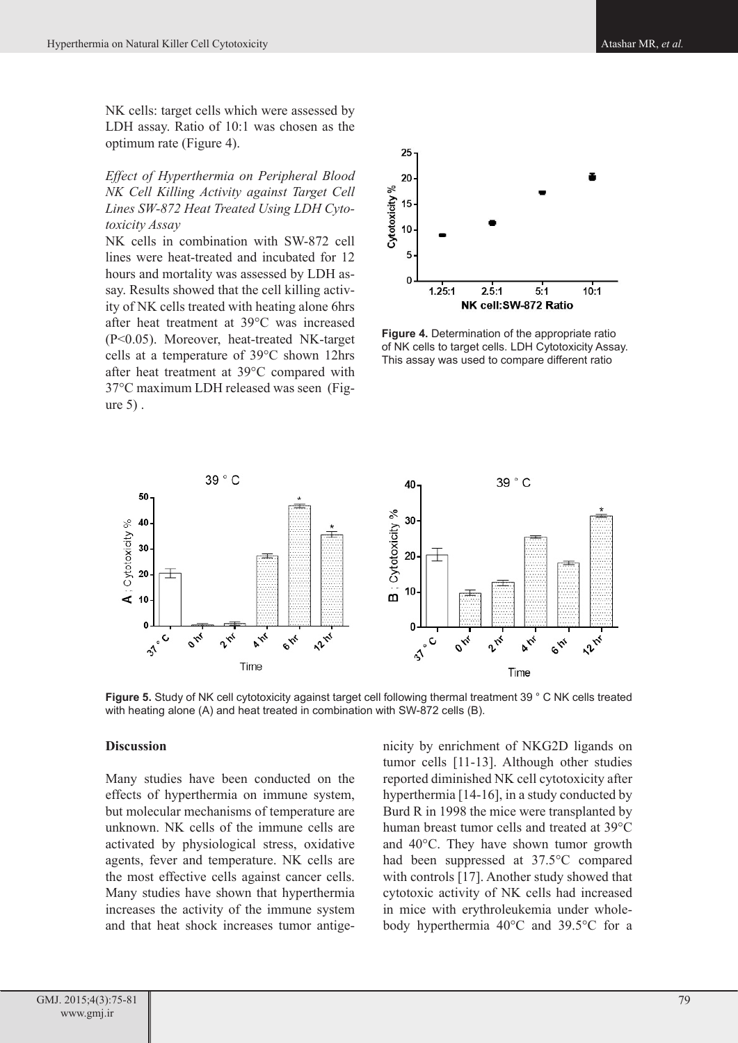NK cells: target cells which were assessed by LDH assay. Ratio of 10:1 was chosen as the optimum rate (Figure 4).

*Effect of Hyperthermia on Peripheral Blood NK Cell Killing Activity against Target Cell Lines SW-872 Heat Treated Using LDH Cytotoxicity Assay*

NK cells in combination with SW-872 cell lines were heat-treated and incubated for 12 hours and mortality was assessed by LDH assay. Results showed that the cell killing activity of NK cells treated with heating alone 6hrs after heat treatment at 39°C was increased (P<0.05). Moreover, heat-treated NK-target cells at a temperature of 39°C shown 12hrs after heat treatment at 39°C compared with 37°C maximum LDH released was seen (Figure 5) .



**Figure 4.** Determination of the appropriate ratio of NK cells to target cells. LDH Cytotoxicity Assay. This assay was used to compare different ratio



**Figure 5.** Study of NK cell cytotoxicity against target cell following thermal treatment 39 ° C NK cells treated with heating alone (A) and heat treated in combination with SW-872 cells (B).

#### **Discussion**

Many studies have been conducted on the effects of hyperthermia on immune system, but molecular mechanisms of temperature are unknown. NK cells of the immune cells are activated by physiological stress, oxidative agents, fever and temperature. NK cells are the most effective cells against cancer cells. Many studies have shown that hyperthermia increases the activity of the immune system and that heat shock increases tumor antigenicity by enrichment of NKG2D ligands on tumor cells [11-13]. Although other studies reported diminished NK cell cytotoxicity after hyperthermia [14-16], in a study conducted by Burd R in 1998 the mice were transplanted by human breast tumor cells and treated at 39°C and 40°C. They have shown tumor growth had been suppressed at 37.5°C compared with controls [17]. Another study showed that cytotoxic activity of NK cells had increased in mice with erythroleukemia under wholebody hyperthermia 40°C and 39.5°C for a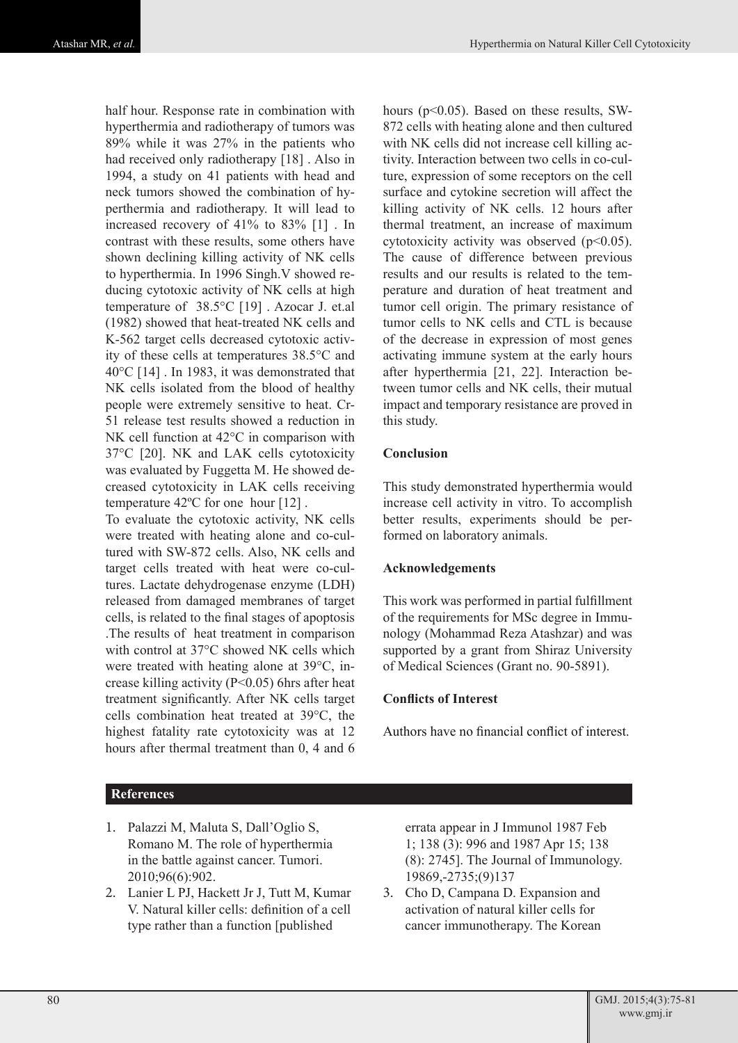half hour. Response rate in combination with hyperthermia and radiotherapy of tumors was 89% while it was 27% in the patients who had received only radiotherapy [18] . Also in 1994, a study on 41 patients with head and neck tumors showed the combination of hyperthermia and radiotherapy. It will lead to increased recovery of 41% to 83% [1] . In contrast with these results, some others have shown declining killing activity of NK cells to hyperthermia. In 1996 Singh.V showed reducing cytotoxic activity of NK cells at high temperature of 38.5°C [19] . Azocar J. et.al (1982) showed that heat-treated NK cells and K-562 target cells decreased cytotoxic activity of these cells at temperatures 38.5°C and 40°C [14] . In 1983, it was demonstrated that NK cells isolated from the blood of healthy people were extremely sensitive to heat. Cr-51 release test results showed a reduction in NK cell function at 42°C in comparison with 37°C [20]. NK and LAK cells cytotoxicity was evaluated by Fuggetta M. He showed decreased cytotoxicity in LAK cells receiving temperature 42ºC for one hour [12] .

To evaluate the cytotoxic activity, NK cells were treated with heating alone and co-cultured with SW-872 cells. Also, NK cells and target cells treated with heat were co-cultures. Lactate dehydrogenase enzyme (LDH) released from damaged membranes of target cells, is related to the final stages of apoptosis .The results of heat treatment in comparison with control at 37°C showed NK cells which were treated with heating alone at 39°C, increase killing activity (P<0.05) 6hrs after heat treatment significantly. After NK cells target cells combination heat treated at 39°C, the highest fatality rate cytotoxicity was at 12 hours after thermal treatment than 0, 4 and 6

hours (p<0.05). Based on these results, SW-872 cells with heating alone and then cultured with NK cells did not increase cell killing activity. Interaction between two cells in co-culture, expression of some receptors on the cell surface and cytokine secretion will affect the killing activity of NK cells. 12 hours after thermal treatment, an increase of maximum cytotoxicity activity was observed  $(p<0.05)$ . The cause of difference between previous results and our results is related to the temperature and duration of heat treatment and tumor cell origin. The primary resistance of tumor cells to NK cells and CTL is because of the decrease in expression of most genes activating immune system at the early hours after hyperthermia [21, 22]. Interaction between tumor cells and NK cells, their mutual impact and temporary resistance are proved in this study.

## **Conclusion**

This study demonstrated hyperthermia would increase cell activity in vitro. To accomplish better results, experiments should be performed on laboratory animals.

# **Acknowledgements**

This work was performed in partial fulfillment of the requirements for MSc degree in Immunology (Mohammad Reza Atashzar) and was supported by a grant from Shiraz University of Medical Sciences (Grant no. 90-5891).

#### **Conflicts of Interest**

Authors have no financial conflict of interest.

# **References**

- 1. Palazzi M, Maluta S, Dall'Oglio S, Romano M. The role of hyperthermia in the battle against cancer. Tumori. 2010;96(6):902.
- 2. Lanier L PJ, Hackett Jr J, Tutt M, Kumar V. Natural killer cells: definition of a cell type rather than a function [published

errata appear in J Immunol 1987 Feb 1; 138 (3): 996 and 1987 Apr 15; 138 (8): 2745]. The Journal of Immunology. 19869,-2735;(9)137

3. Cho D, Campana D. Expansion and activation of natural killer cells for cancer immunotherapy. The Korean